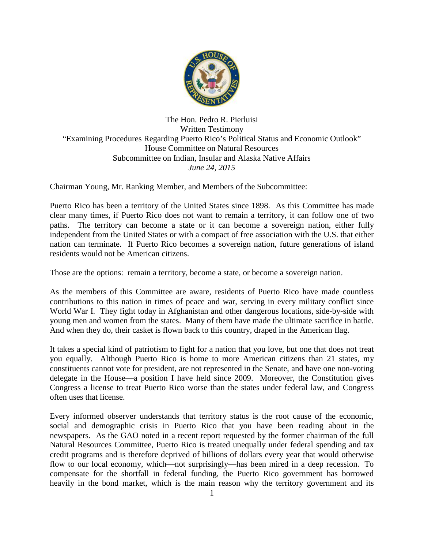

The Hon. Pedro R. Pierluisi Written Testimony "Examining Procedures Regarding Puerto Rico's Political Status and Economic Outlook" House Committee on Natural Resources Subcommittee on Indian, Insular and Alaska Native Affairs *June 24, 2015*

Chairman Young, Mr. Ranking Member, and Members of the Subcommittee:

Puerto Rico has been a territory of the United States since 1898. As this Committee has made clear many times, if Puerto Rico does not want to remain a territory, it can follow one of two paths. The territory can become a state or it can become a sovereign nation, either fully independent from the United States or with a compact of free association with the U.S. that either nation can terminate. If Puerto Rico becomes a sovereign nation, future generations of island residents would not be American citizens.

Those are the options: remain a territory, become a state, or become a sovereign nation.

As the members of this Committee are aware, residents of Puerto Rico have made countless contributions to this nation in times of peace and war, serving in every military conflict since World War I. They fight today in Afghanistan and other dangerous locations, side-by-side with young men and women from the states. Many of them have made the ultimate sacrifice in battle. And when they do, their casket is flown back to this country, draped in the American flag.

It takes a special kind of patriotism to fight for a nation that you love, but one that does not treat you equally. Although Puerto Rico is home to more American citizens than 21 states, my constituents cannot vote for president, are not represented in the Senate, and have one non-voting delegate in the House—a position I have held since 2009. Moreover, the Constitution gives Congress a license to treat Puerto Rico worse than the states under federal law, and Congress often uses that license.

Every informed observer understands that territory status is the root cause of the economic, social and demographic crisis in Puerto Rico that you have been reading about in the newspapers. As the GAO noted in a recent report requested by the former chairman of the full Natural Resources Committee, Puerto Rico is treated unequally under federal spending and tax credit programs and is therefore deprived of billions of dollars every year that would otherwise flow to our local economy, which—not surprisingly—has been mired in a deep recession. To compensate for the shortfall in federal funding, the Puerto Rico government has borrowed heavily in the bond market, which is the main reason why the territory government and its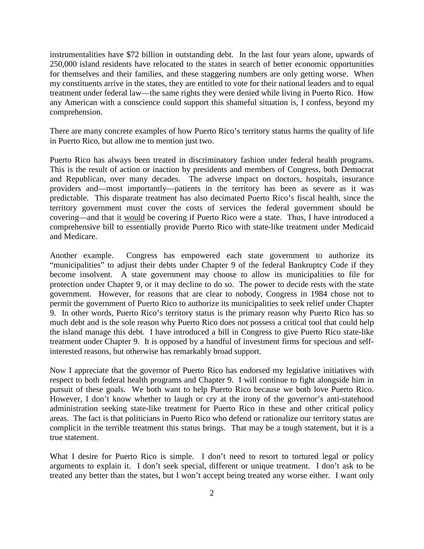instrumentalities have \$72 billion in outstanding debt. In the last four years alone, upwards of 250,000 island residents have relocated to the states in search of better economic opportunities for themselves and their families, and these staggering numbers are only getting worse. When my constituents arrive in the states, they are entitled to vote for their national leaders and to equal treatment under federal law—the same rights they were denied while living in Puerto Rico. How any American with a conscience could support this shameful situation is, I confess, beyond my comprehension.

There are many concrete examples of how Puerto Rico's territory status harms the quality of life in Puerto Rico, but allow me to mention just two.

Puerto Rico has always been treated in discriminatory fashion under federal health programs. This is the result of action or inaction by presidents and members of Congress, both Democrat and Republican, over many decades. The adverse impact on doctors, hospitals, insurance providers and—most importantly—patients in the territory has been as severe as it was predictable. This disparate treatment has also decimated Puerto Rico's fiscal health, since the territory government must cover the costs of services the federal government should be covering—and that it would be covering if Puerto Rico were a state. Thus, I have introduced a comprehensive bill to essentially provide Puerto Rico with state-like treatment under Medicaid and Medicare.

Another example. Congress has empowered each state government to authorize its "municipalities" to adjust their debts under Chapter 9 of the federal Bankruptcy Code if they become insolvent. A state government may choose to allow its municipalities to file for protection under Chapter 9, or it may decline to do so. The power to decide rests with the state government. However, for reasons that are clear to nobody, Congress in 1984 chose not to permit the government of Puerto Rico to authorize its municipalities to seek relief under Chapter 9. In other words, Puerto Rico's territory status is the primary reason why Puerto Rico has so much debt and is the sole reason why Puerto Rico does not possess a critical tool that could help the island manage this debt. I have introduced a bill in Congress to give Puerto Rico state-like treatment under Chapter 9. It is opposed by a handful of investment firms for specious and selfinterested reasons, but otherwise has remarkably broad support.

Now I appreciate that the governor of Puerto Rico has endorsed my legislative initiatives with respect to both federal health programs and Chapter 9. I will continue to fight alongside him in pursuit of these goals. We both want to help Puerto Rico because we both love Puerto Rico. However, I don't know whether to laugh or cry at the irony of the governor's anti-statehood administration seeking state-like treatment for Puerto Rico in these and other critical policy areas. The fact is that politicians in Puerto Rico who defend or rationalize our territory status are complicit in the terrible treatment this status brings. That may be a tough statement, but it is a true statement.

What I desire for Puerto Rico is simple. I don't need to resort to tortured legal or policy arguments to explain it. I don't seek special, different or unique treatment. I don't ask to be treated any better than the states, but I won't accept being treated any worse either. I want only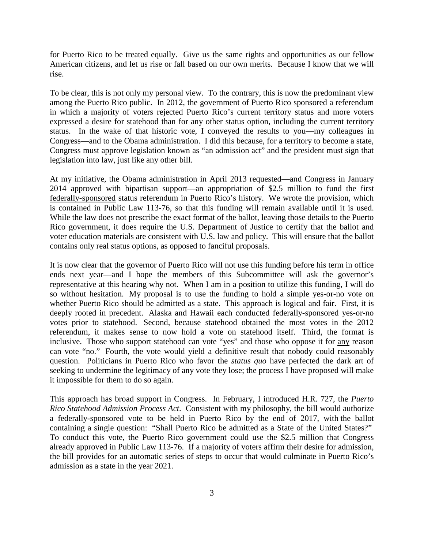for Puerto Rico to be treated equally. Give us the same rights and opportunities as our fellow American citizens, and let us rise or fall based on our own merits. Because I know that we will rise.

To be clear, this is not only my personal view. To the contrary, this is now the predominant view among the Puerto Rico public. In 2012, the government of Puerto Rico sponsored a referendum in which a majority of voters rejected Puerto Rico's current territory status and more voters expressed a desire for statehood than for any other status option, including the current territory status. In the wake of that historic vote, I conveyed the results to you—my colleagues in Congress—and to the Obama administration. I did this because, for a territory to become a state, Congress must approve legislation known as "an admission act" and the president must sign that legislation into law, just like any other bill.

At my initiative, the Obama administration in April 2013 requested—and Congress in January 2014 approved with bipartisan support—an appropriation of \$2.5 million to fund the first federally-sponsored status referendum in Puerto Rico's history. We wrote the provision, which is contained in Public Law 113-76, so that this funding will remain available until it is used. While the law does not prescribe the exact format of the ballot, leaving those details to the Puerto Rico government, it does require the U.S. Department of Justice to certify that the ballot and voter education materials are consistent with U.S. law and policy. This will ensure that the ballot contains only real status options, as opposed to fanciful proposals.

It is now clear that the governor of Puerto Rico will not use this funding before his term in office ends next year—and I hope the members of this Subcommittee will ask the governor's representative at this hearing why not. When I am in a position to utilize this funding, I will do so without hesitation. My proposal is to use the funding to hold a simple yes-or-no vote on whether Puerto Rico should be admitted as a state. This approach is logical and fair. First, it is deeply rooted in precedent. Alaska and Hawaii each conducted federally-sponsored yes-or-no votes prior to statehood. Second, because statehood obtained the most votes in the 2012 referendum, it makes sense to now hold a vote on statehood itself. Third, the format is inclusive. Those who support statehood can vote "yes" and those who oppose it for any reason can vote "no." Fourth, the vote would yield a definitive result that nobody could reasonably question. Politicians in Puerto Rico who favor the *status quo* have perfected the dark art of seeking to undermine the legitimacy of any vote they lose; the process I have proposed will make it impossible for them to do so again.

This approach has broad support in Congress. In February, I introduced H.R. 727, the *Puerto Rico Statehood Admission Process Act*. Consistent with my philosophy, the bill would authorize a federally-sponsored vote to be held in Puerto Rico by the end of 2017, with the ballot containing a single question: "Shall Puerto Rico be admitted as a State of the United States?" To conduct this vote, the Puerto Rico government could use the \$2.5 million that Congress already approved in Public Law 113-76. If a majority of voters affirm their desire for admission, the bill provides for an automatic series of steps to occur that would culminate in Puerto Rico's admission as a state in the year 2021.